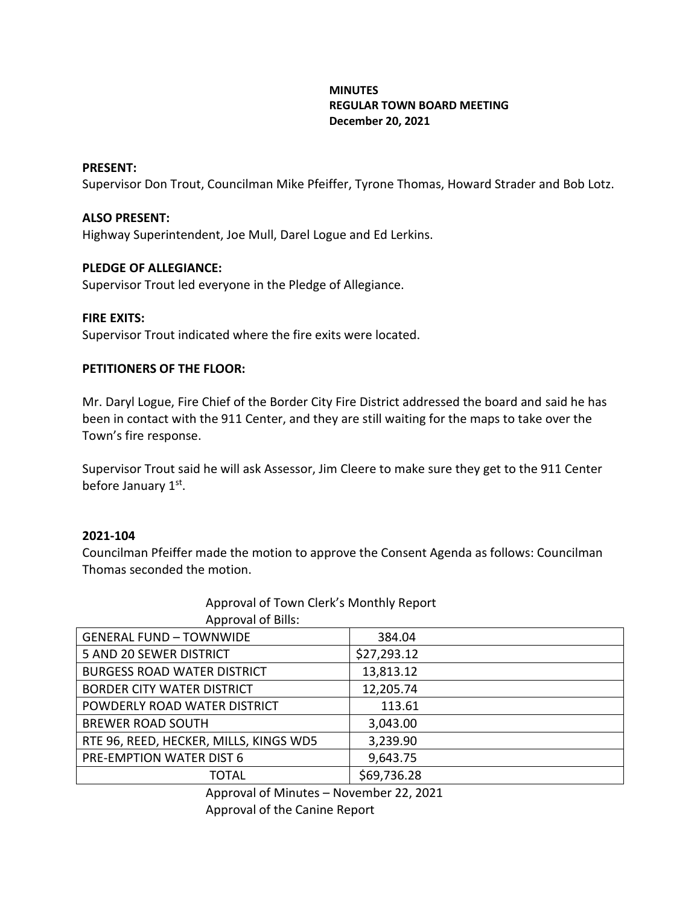# **MINUTES REGULAR TOWN BOARD MEETING December 20, 2021**

## **PRESENT:**

Supervisor Don Trout, Councilman Mike Pfeiffer, Tyrone Thomas, Howard Strader and Bob Lotz.

## **ALSO PRESENT:**

Highway Superintendent, Joe Mull, Darel Logue and Ed Lerkins.

## **PLEDGE OF ALLEGIANCE:**

Supervisor Trout led everyone in the Pledge of Allegiance.

## **FIRE EXITS:**

Supervisor Trout indicated where the fire exits were located.

## **PETITIONERS OF THE FLOOR:**

Mr. Daryl Logue, Fire Chief of the Border City Fire District addressed the board and said he has been in contact with the 911 Center, and they are still waiting for the maps to take over the Town's fire response.

Supervisor Trout said he will ask Assessor, Jim Cleere to make sure they get to the 911 Center before January 1st.

## **2021-104**

Councilman Pfeiffer made the motion to approve the Consent Agenda as follows: Councilman Thomas seconded the motion.

| <b>Approval of Bills:</b>              |             |
|----------------------------------------|-------------|
| <b>GENERAL FUND - TOWNWIDE</b>         | 384.04      |
| 5 AND 20 SEWER DISTRICT                | \$27,293.12 |
| <b>BURGESS ROAD WATER DISTRICT</b>     | 13,813.12   |
| <b>BORDER CITY WATER DISTRICT</b>      | 12,205.74   |
| POWDERLY ROAD WATER DISTRICT           | 113.61      |
| <b>BREWER ROAD SOUTH</b>               | 3,043.00    |
| RTE 96, REED, HECKER, MILLS, KINGS WD5 | 3,239.90    |
| PRE-EMPTION WATER DIST 6               | 9,643.75    |
| <b>TOTAL</b>                           | \$69,736.28 |

# Approval of Town Clerk's Monthly Report

Approval of Minutes – November 22, 2021 Approval of the Canine Report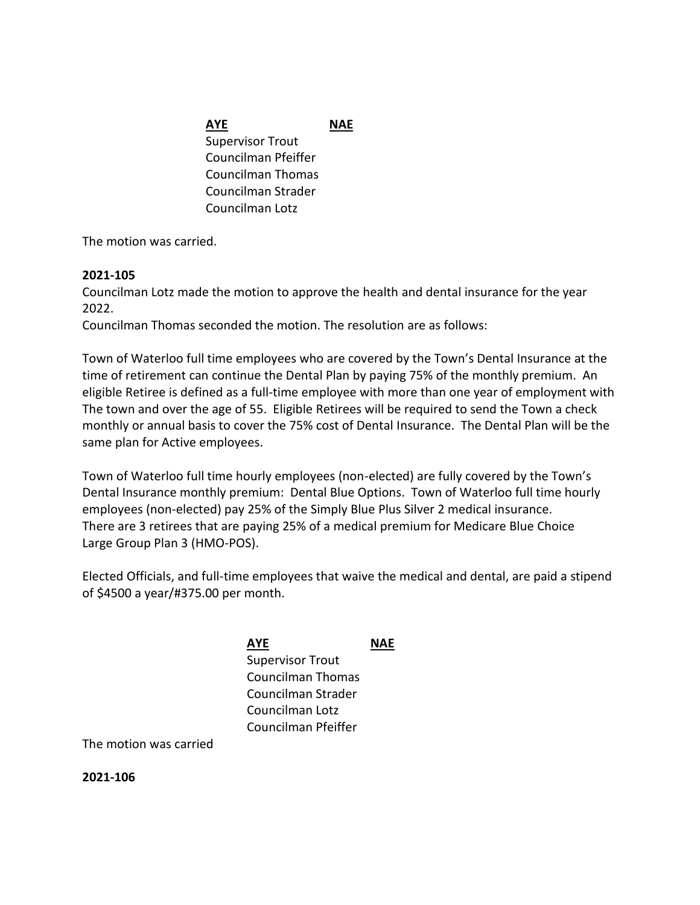# **AYE NAE** Supervisor Trout Councilman Pfeiffer Councilman Thomas Councilman Strader Councilman Lotz

The motion was carried.

# **2021-105**

Councilman Lotz made the motion to approve the health and dental insurance for the year 2022.

Councilman Thomas seconded the motion. The resolution are as follows:

Town of Waterloo full time employees who are covered by the Town's Dental Insurance at the time of retirement can continue the Dental Plan by paying 75% of the monthly premium. An eligible Retiree is defined as a full-time employee with more than one year of employment with The town and over the age of 55. Eligible Retirees will be required to send the Town a check monthly or annual basis to cover the 75% cost of Dental Insurance. The Dental Plan will be the same plan for Active employees.

Town of Waterloo full time hourly employees (non-elected) are fully covered by the Town's Dental Insurance monthly premium: Dental Blue Options. Town of Waterloo full time hourly employees (non-elected) pay 25% of the Simply Blue Plus Silver 2 medical insurance. There are 3 retirees that are paying 25% of a medical premium for Medicare Blue Choice Large Group Plan 3 (HMO-POS).

Elected Officials, and full-time employees that waive the medical and dental, are paid a stipend of \$4500 a year/#375.00 per month.

> **AYE NAE** Supervisor Trout Councilman Thomas Councilman Strader Councilman Lotz Councilman Pfeiffer

The motion was carried

**2021-106**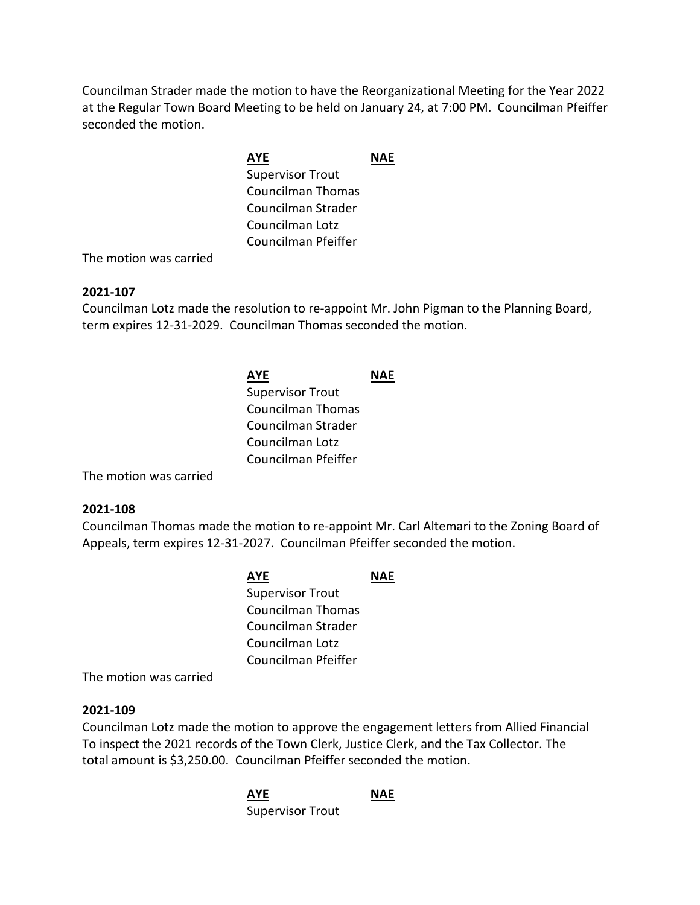Councilman Strader made the motion to have the Reorganizational Meeting for the Year 2022 at the Regular Town Board Meeting to be held on January 24, at 7:00 PM. Councilman Pfeiffer seconded the motion.

# **AYE NAE** Supervisor Trout Councilman Thomas Councilman Strader Councilman Lotz Councilman Pfeiffer

The motion was carried

# **2021-107**

Councilman Lotz made the resolution to re-appoint Mr. John Pigman to the Planning Board, term expires 12-31-2029. Councilman Thomas seconded the motion.

# **AYE NAE** Supervisor Trout Councilman Thomas Councilman Strader Councilman Lotz Councilman Pfeiffer

The motion was carried

# **2021-108**

Councilman Thomas made the motion to re-appoint Mr. Carl Altemari to the Zoning Board of Appeals, term expires 12-31-2027. Councilman Pfeiffer seconded the motion.

| <b>AYE</b>              | NAF |
|-------------------------|-----|
| <b>Supervisor Trout</b> |     |
| Councilman Thomas       |     |
| Councilman Strader      |     |
| Councilman Lotz         |     |
| Councilman Pfeiffer     |     |

The motion was carried

## **2021-109**

Councilman Lotz made the motion to approve the engagement letters from Allied Financial To inspect the 2021 records of the Town Clerk, Justice Clerk, and the Tax Collector. The total amount is \$3,250.00. Councilman Pfeiffer seconded the motion.

> **AYE NAE** Supervisor Trout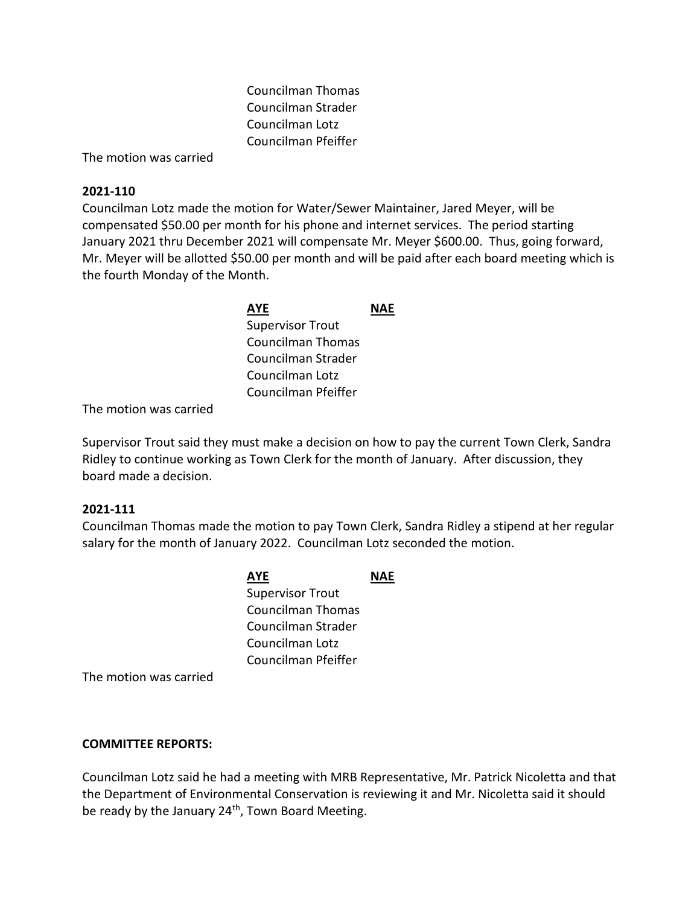Councilman Thomas Councilman Strader Councilman Lotz Councilman Pfeiffer

The motion was carried

# **2021-110**

Councilman Lotz made the motion for Water/Sewer Maintainer, Jared Meyer, will be compensated \$50.00 per month for his phone and internet services. The period starting January 2021 thru December 2021 will compensate Mr. Meyer \$600.00. Thus, going forward, Mr. Meyer will be allotted \$50.00 per month and will be paid after each board meeting which is the fourth Monday of the Month.

| AYE                     | NAF |
|-------------------------|-----|
| <b>Supervisor Trout</b> |     |
| Councilman Thomas       |     |
| Councilman Strader      |     |
| Councilman Lotz         |     |
| Councilman Pfeiffer     |     |

The motion was carried

Supervisor Trout said they must make a decision on how to pay the current Town Clerk, Sandra Ridley to continue working as Town Clerk for the month of January. After discussion, they board made a decision.

# **2021-111**

Councilman Thomas made the motion to pay Town Clerk, Sandra Ridley a stipend at her regular salary for the month of January 2022. Councilman Lotz seconded the motion.

| AYE                     |  |
|-------------------------|--|
| <b>Supervisor Trout</b> |  |
| Councilman Thomas       |  |
| Councilman Strader      |  |
| Councilman Lotz         |  |
| Councilman Pfeiffer     |  |
|                         |  |

The motion was carried

## **COMMITTEE REPORTS:**

Councilman Lotz said he had a meeting with MRB Representative, Mr. Patrick Nicoletta and that the Department of Environmental Conservation is reviewing it and Mr. Nicoletta said it should be ready by the January 24<sup>th</sup>, Town Board Meeting.